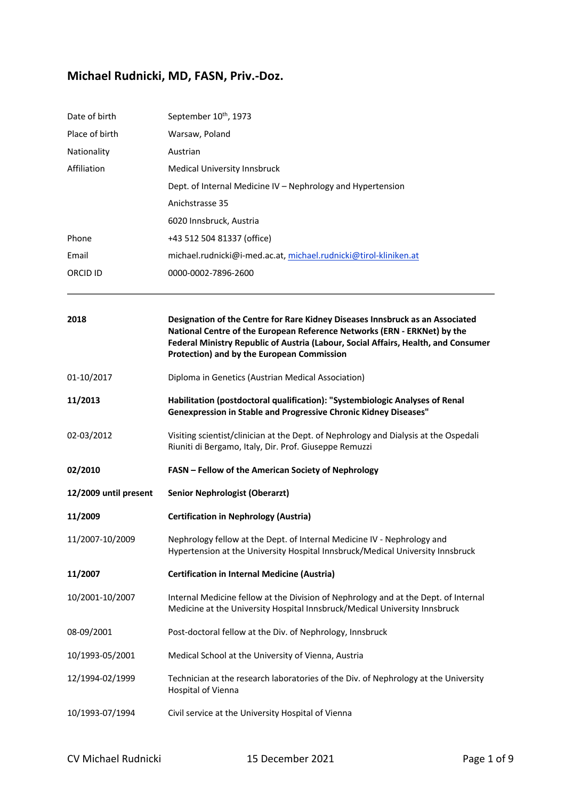## **Michael Rudnicki, MD, FASN, Priv.-Doz.**

| Date of birth         | September 10 <sup>th</sup> , 1973                                                                                                                                                                                                                                                             |
|-----------------------|-----------------------------------------------------------------------------------------------------------------------------------------------------------------------------------------------------------------------------------------------------------------------------------------------|
| Place of birth        | Warsaw, Poland                                                                                                                                                                                                                                                                                |
| Nationality           | Austrian                                                                                                                                                                                                                                                                                      |
| Affiliation           | Medical University Innsbruck                                                                                                                                                                                                                                                                  |
|                       | Dept. of Internal Medicine IV - Nephrology and Hypertension                                                                                                                                                                                                                                   |
|                       | Anichstrasse 35                                                                                                                                                                                                                                                                               |
|                       | 6020 Innsbruck, Austria                                                                                                                                                                                                                                                                       |
| Phone                 | +43 512 504 81337 (office)                                                                                                                                                                                                                                                                    |
| Email                 | michael.rudnicki@i-med.ac.at, michael.rudnicki@tirol-kliniken.at                                                                                                                                                                                                                              |
| ORCID ID              | 0000-0002-7896-2600                                                                                                                                                                                                                                                                           |
| 2018                  | Designation of the Centre for Rare Kidney Diseases Innsbruck as an Associated<br>National Centre of the European Reference Networks (ERN - ERKNet) by the<br>Federal Ministry Republic of Austria (Labour, Social Affairs, Health, and Consumer<br>Protection) and by the European Commission |
| 01-10/2017            | Diploma in Genetics (Austrian Medical Association)                                                                                                                                                                                                                                            |
| 11/2013               | Habilitation (postdoctoral qualification): "Systembiologic Analyses of Renal<br>Genexpression in Stable and Progressive Chronic Kidney Diseases"                                                                                                                                              |
| 02-03/2012            | Visiting scientist/clinician at the Dept. of Nephrology and Dialysis at the Ospedali<br>Riuniti di Bergamo, Italy, Dir. Prof. Giuseppe Remuzzi                                                                                                                                                |
| 02/2010               | FASN - Fellow of the American Society of Nephrology                                                                                                                                                                                                                                           |
| 12/2009 until present | <b>Senior Nephrologist (Oberarzt)</b>                                                                                                                                                                                                                                                         |
| 11/2009               | <b>Certification in Nephrology (Austria)</b>                                                                                                                                                                                                                                                  |
| 11/2007-10/2009       | Nephrology fellow at the Dept. of Internal Medicine IV - Nephrology and<br>Hypertension at the University Hospital Innsbruck/Medical University Innsbruck                                                                                                                                     |
| 11/2007               | <b>Certification in Internal Medicine (Austria)</b>                                                                                                                                                                                                                                           |
| 10/2001-10/2007       | Internal Medicine fellow at the Division of Nephrology and at the Dept. of Internal<br>Medicine at the University Hospital Innsbruck/Medical University Innsbruck                                                                                                                             |
| 08-09/2001            | Post-doctoral fellow at the Div. of Nephrology, Innsbruck                                                                                                                                                                                                                                     |
| 10/1993-05/2001       | Medical School at the University of Vienna, Austria                                                                                                                                                                                                                                           |
| 12/1994-02/1999       | Technician at the research laboratories of the Div. of Nephrology at the University<br>Hospital of Vienna                                                                                                                                                                                     |
| 10/1993-07/1994       | Civil service at the University Hospital of Vienna                                                                                                                                                                                                                                            |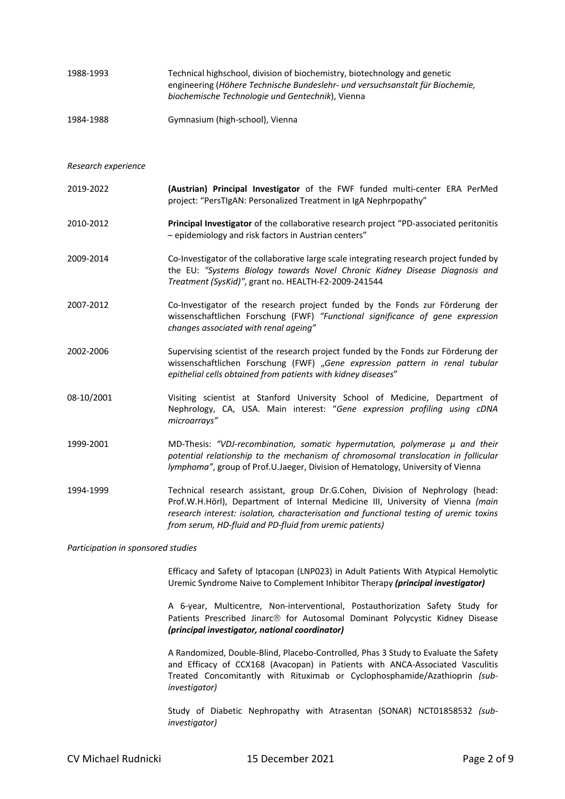| 1988-1993 | Technical highschool, division of biochemistry, biotechnology and genetic     |
|-----------|-------------------------------------------------------------------------------|
|           | engineering (Höhere Technische Bundeslehr- und versuchsanstalt für Biochemie, |
|           | biochemische Technologie und Gentechnik), Vienna                              |
|           |                                                                               |

1984-1988 Gymnasium (high-school), Vienna

*Research experience*

- 2019-2022 **(Austrian) Principal Investigator** of the FWF funded multi-center ERA PerMed project: "PersTIgAN: Personalized Treatment in IgA Nephrpopathy"
- 2010-2012 **Principal Investigator** of the collaborative research project "PD-associated peritonitis – epidemiology and risk factors in Austrian centers"
- 2009-2014 Co-Investigator of the collaborative large scale integrating research project funded by the EU: *"Systems Biology towards Novel Chronic Kidney Disease Diagnosis and Treatment (SysKid)"*, grant no. HEALTH-F2-2009-241544
- 2007-2012 Co-Investigator of the research project funded by the Fonds zur Förderung der wissenschaftlichen Forschung (FWF) *"Functional significance of gene expression changes associated with renal ageing"*
- 2002-2006 Supervising scientist of the research project funded by the Fonds zur Förderung der wissenschaftlichen Forschung (FWF) "*Gene expression pattern in renal tubular epithelial cells obtained from patients with kidney diseases*"
- 08-10/2001 Visiting scientist at Stanford University School of Medicine, Department of Nephrology, CA, USA. Main interest: "*Gene expression profiling using cDNA microarrays"*
- 1999-2001 MD-Thesis: *"VDJ-recombination, somatic hypermutation, polymerase µ and their potential relationship to the mechanism of chromosomal translocation in follicular lymphoma"*, group of Prof.U.Jaeger, Division of Hematology, University of Vienna
- 1994-1999 Technical research assistant, group Dr.G.Cohen, Division of Nephrology (head: Prof.W.H.Hörl), Department of Internal Medicine III, University of Vienna *(main research interest: isolation, characterisation and functional testing of uremic toxins from serum, HD-fluid and PD-fluid from uremic patients)*

*Participation in sponsored studies*

Efficacy and Safety of Iptacopan (LNP023) in Adult Patients With Atypical Hemolytic Uremic Syndrome Naive to Complement Inhibitor Therapy *(principal investigator)*

A 6-year, Multicentre, Non-interventional, Postauthorization Safety Study for Patients Prescribed Jinarc<sup>®</sup> for Autosomal Dominant Polycystic Kidney Disease *(principal investigator, national coordinator)*

A Randomized, Double-Blind, Placebo-Controlled, Phas 3 Study to Evaluate the Safety and Efficacy of CCX168 (Avacopan) in Patients with ANCA-Associated Vasculitis Treated Concomitantly with Rituximab or Cyclophosphamide/Azathioprin *(subinvestigator)*

Study of Diabetic Nephropathy with Atrasentan (SONAR) NCT01858532 *(subinvestigator)*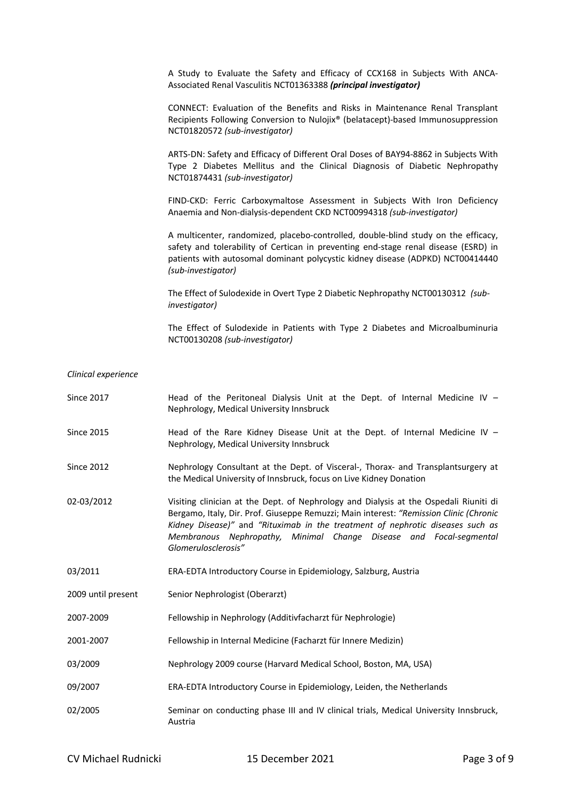A Study to Evaluate the Safety and Efficacy of CCX168 in Subjects With ANCA-Associated Renal Vasculitis NCT01363388 *(principal investigator)*

CONNECT: Evaluation of the Benefits and Risks in Maintenance Renal Transplant Recipients Following Conversion to Nulojix® (belatacept)-based Immunosuppression NCT01820572 *(sub-investigator)*

ARTS-DN: Safety and Efficacy of Different Oral Doses of BAY94-8862 in Subjects With Type 2 Diabetes Mellitus and the Clinical Diagnosis of Diabetic Nephropathy NCT01874431 *(sub-investigator)*

FIND-CKD: Ferric Carboxymaltose Assessment in Subjects With Iron Deficiency Anaemia and Non-dialysis-dependent CKD NCT00994318 *(sub-investigator)*

A multicenter, randomized, placebo-controlled, double-blind study on the efficacy, safety and tolerability of Certican in preventing end-stage renal disease (ESRD) in patients with autosomal dominant polycystic kidney disease (ADPKD) NCT00414440 *(sub-investigator)*

The Effect of Sulodexide in Overt Type 2 Diabetic Nephropathy NCT00130312 *(subinvestigator)*

The Effect of Sulodexide in Patients with Type 2 Diabetes and Microalbuminuria NCT00130208 *(sub-investigator)*

## *Clinical experience*

| <b>Since 2017</b>  | Head of the Peritoneal Dialysis Unit at the Dept. of Internal Medicine IV -<br>Nephrology, Medical University Innsbruck                                                                                                                                                                                                                                        |
|--------------------|----------------------------------------------------------------------------------------------------------------------------------------------------------------------------------------------------------------------------------------------------------------------------------------------------------------------------------------------------------------|
| <b>Since 2015</b>  | Head of the Rare Kidney Disease Unit at the Dept. of Internal Medicine IV -<br>Nephrology, Medical University Innsbruck                                                                                                                                                                                                                                        |
| <b>Since 2012</b>  | Nephrology Consultant at the Dept. of Visceral-, Thorax- and Transplantsurgery at<br>the Medical University of Innsbruck, focus on Live Kidney Donation                                                                                                                                                                                                        |
| 02-03/2012         | Visiting clinician at the Dept. of Nephrology and Dialysis at the Ospedali Riuniti di<br>Bergamo, Italy, Dir. Prof. Giuseppe Remuzzi; Main interest: "Remission Clinic (Chronic<br>Kidney Disease)" and "Rituximab in the treatment of nephrotic diseases such as<br>Membranous Nephropathy, Minimal Change Disease and Focal-segmental<br>Glomerulosclerosis" |
| 03/2011            | ERA-EDTA Introductory Course in Epidemiology, Salzburg, Austria                                                                                                                                                                                                                                                                                                |
| 2009 until present | Senior Nephrologist (Oberarzt)                                                                                                                                                                                                                                                                                                                                 |
| 2007-2009          | Fellowship in Nephrology (Additivfacharzt für Nephrologie)                                                                                                                                                                                                                                                                                                     |
| 2001-2007          | Fellowship in Internal Medicine (Facharzt für Innere Medizin)                                                                                                                                                                                                                                                                                                  |
| 03/2009            | Nephrology 2009 course (Harvard Medical School, Boston, MA, USA)                                                                                                                                                                                                                                                                                               |
| 09/2007            | ERA-EDTA Introductory Course in Epidemiology, Leiden, the Netherlands                                                                                                                                                                                                                                                                                          |
| 02/2005            | Seminar on conducting phase III and IV clinical trials, Medical University Innsbruck,<br>Austria                                                                                                                                                                                                                                                               |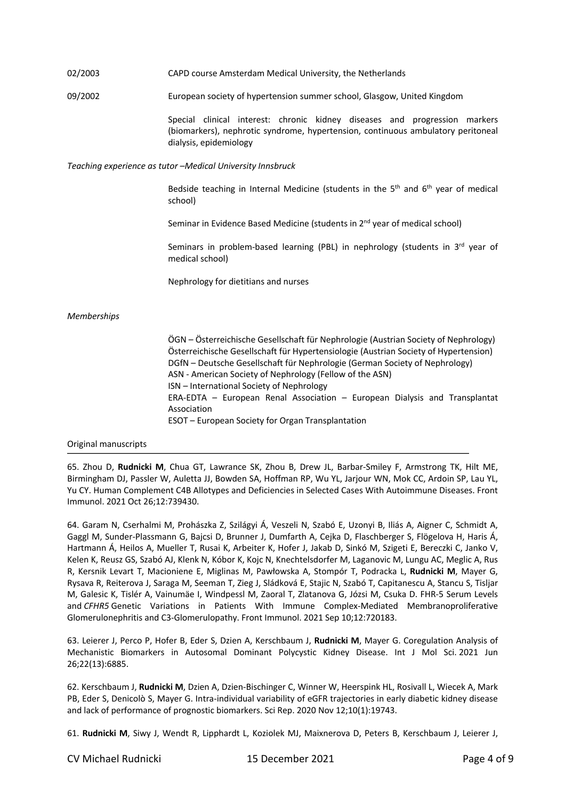## 02/2003 CAPD course Amsterdam Medical University, the Netherlands

09/2002 European society of hypertension summer school, Glasgow, United Kingdom

Special clinical interest: chronic kidney diseases and progression markers (biomarkers), nephrotic syndrome, hypertension, continuous ambulatory peritoneal dialysis, epidemiology

*Teaching experience as tutor –Medical University Innsbruck*

Bedside teaching in Internal Medicine (students in the  $5<sup>th</sup>$  and  $6<sup>th</sup>$  year of medical school)

Seminar in Evidence Based Medicine (students in 2<sup>nd</sup> year of medical school)

Seminars in problem-based learning (PBL) in nephrology (students in  $3<sup>rd</sup>$  year of medical school)

Nephrology for dietitians and nurses

## *Memberships*

ÖGN – Österreichische Gesellschaft für Nephrologie (Austrian Society of Nephrology) Österreichische Gesellschaft für Hypertensiologie (Austrian Society of Hypertension) DGfN – Deutsche Gesellschaft für Nephrologie (German Society of Nephrology) ASN - American Society of Nephrology (Fellow of the ASN) ISN – International Society of Nephrology ERA-EDTA – European Renal Association – European Dialysis and Transplantat Association ESOT – European Society for Organ Transplantation

Original manuscripts

65. Zhou D, **Rudnicki M**, Chua GT, Lawrance SK, Zhou B, Drew JL, Barbar-Smiley F, Armstrong TK, Hilt ME, Birmingham DJ, Passler W, Auletta JJ, Bowden SA, Hoffman RP, Wu YL, Jarjour WN, Mok CC, Ardoin SP, Lau YL, Yu CY. Human Complement C4B Allotypes and Deficiencies in Selected Cases With Autoimmune Diseases. Front Immunol. 2021 Oct 26;12:739430.

64. Garam N, Cserhalmi M, Prohászka Z, Szilágyi Á, Veszeli N, Szabó E, Uzonyi B, Iliás A, Aigner C, Schmidt A, Gaggl M, Sunder-Plassmann G, Bajcsi D, Brunner J, Dumfarth A, Cejka D, Flaschberger S, Flögelova H, Haris Á, Hartmann Á, Heilos A, Mueller T, Rusai K, Arbeiter K, Hofer J, Jakab D, Sinkó M, Szigeti E, Bereczki C, Janko V, Kelen K, Reusz GS, Szabó AJ, Klenk N, Kóbor K, Kojc N, Knechtelsdorfer M, Laganovic M, Lungu AC, Meglic A, Rus R, Kersnik Levart T, Macioniene E, Miglinas M, Pawłowska A, Stompór T, Podracka L, **Rudnicki M**, Mayer G, Rysava R, Reiterova J, Saraga M, Seeman T, Zieg J, Sládková E, Stajic N, Szabó T, Capitanescu A, Stancu S, Tisljar M, Galesic K, Tislér A, Vainumäe I, Windpessl M, Zaoral T, Zlatanova G, Józsi M, Csuka D. FHR-5 Serum Levels and *CFHR5* Genetic Variations in Patients With Immune Complex-Mediated Membranoproliferative Glomerulonephritis and C3-Glomerulopathy. Front Immunol. 2021 Sep 10;12:720183.

63. Leierer J, Perco P, Hofer B, Eder S, Dzien A, Kerschbaum J, **Rudnicki M**, Mayer G. Coregulation Analysis of Mechanistic Biomarkers in Autosomal Dominant Polycystic Kidney Disease. Int J Mol Sci. 2021 Jun 26;22(13):6885.

62. Kerschbaum J, **Rudnicki M**, Dzien A, Dzien-Bischinger C, Winner W, Heerspink HL, Rosivall L, Wiecek A, Mark PB, Eder S, Denicolò S, Mayer G. Intra-individual variability of eGFR trajectories in early diabetic kidney disease and lack of performance of prognostic biomarkers. Sci Rep. 2020 Nov 12;10(1):19743.

61. **Rudnicki M**, Siwy J, Wendt R, Lipphardt L, Koziolek MJ, Maixnerova D, Peters B, Kerschbaum J, Leierer J,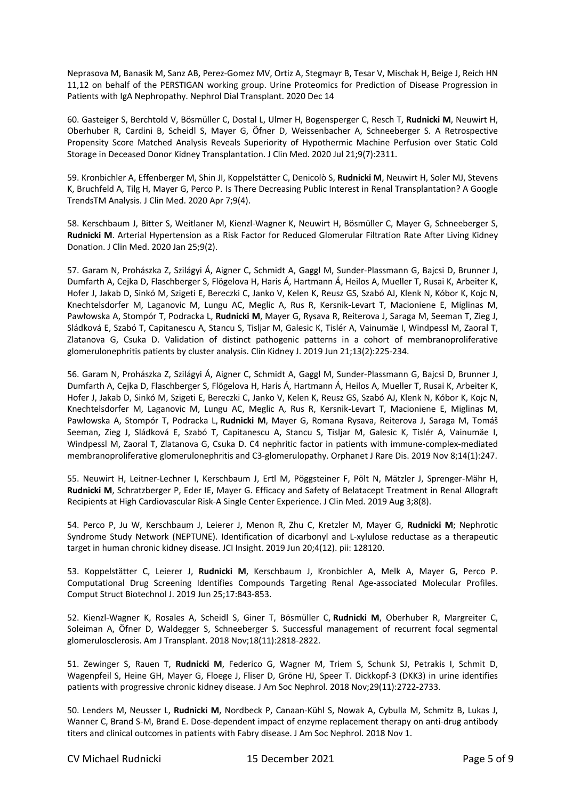Neprasova M, Banasik M, Sanz AB, Perez-Gomez MV, Ortiz A, Stegmayr B, Tesar V, Mischak H, Beige J, Reich HN 11,12 on behalf of the PERSTIGAN working group. Urine Proteomics for Prediction of Disease Progression in Patients with IgA Nephropathy. Nephrol Dial Transplant. 2020 Dec 14

60. Gasteiger S, Berchtold V, Bösmüller C, Dostal L, Ulmer H, Bogensperger C, Resch T, **Rudnicki M**, Neuwirt H, Oberhuber R, Cardini B, Scheidl S, Mayer G, Öfner D, Weissenbacher A, Schneeberger S. A Retrospective Propensity Score Matched Analysis Reveals Superiority of Hypothermic Machine Perfusion over Static Cold Storage in Deceased Donor Kidney Transplantation. J Clin Med. 2020 Jul 21;9(7):2311.

59. Kronbichler A, Effenberger M, Shin JI, Koppelstätter C, Denicolò S, **Rudnicki M**, Neuwirt H, Soler MJ, Stevens K, Bruchfeld A, Tilg H, Mayer G, Perco P. Is There Decreasing Public Interest in Renal Transplantation? A Google TrendsTM Analysis. J Clin Med. 2020 Apr 7;9(4).

58. Kerschbaum J, Bitter S, Weitlaner M, Kienzl-Wagner K, Neuwirt H, Bösmüller C, Mayer G, Schneeberger S, **Rudnicki M**. Arterial Hypertension as a Risk Factor for Reduced Glomerular Filtration Rate After Living Kidney Donation. J Clin Med. 2020 Jan 25;9(2).

57. Garam N, Prohászka Z, Szilágyi Á, Aigner C, Schmidt A, Gaggl M, Sunder-Plassmann G, Bajcsi D, Brunner J, Dumfarth A, Cejka D, Flaschberger S, Flögelova H, Haris Á, Hartmann Á, Heilos A, Mueller T, Rusai K, Arbeiter K, Hofer J, Jakab D, Sinkó M, Szigeti E, Bereczki C, Janko V, Kelen K, Reusz GS, Szabó AJ, Klenk N, Kóbor K, Kojc N, Knechtelsdorfer M, Laganovic M, Lungu AC, Meglic A, Rus R, Kersnik-Levart T, Macioniene E, Miglinas M, Pawłowska A, Stompór T, Podracka L, **Rudnicki M**, Mayer G, Rysava R, Reiterova J, Saraga M, Seeman T, Zieg J, Sládková E, Szabó T, Capitanescu A, Stancu S, Tisljar M, Galesic K, Tislér A, Vainumäe I, Windpessl M, Zaoral T, Zlatanova G, Csuka D. Validation of distinct pathogenic patterns in a cohort of membranoproliferative glomerulonephritis patients by cluster analysis. Clin Kidney J. 2019 Jun 21;13(2):225-234.

56. Garam N, Prohászka Z, Szilágyi Á, Aigner C, Schmidt A, Gaggl M, Sunder-Plassmann G, Bajcsi D, Brunner J, Dumfarth A, Cejka D, Flaschberger S, Flögelova H, Haris Á, Hartmann Á, Heilos A, Mueller T, Rusai K, Arbeiter K, Hofer J, Jakab D, Sinkó M, Szigeti E, Bereczki C, Janko V, Kelen K, Reusz GS, Szabó AJ, Klenk N, Kóbor K, Kojc N, Knechtelsdorfer M, Laganovic M, Lungu AC, Meglic A, Rus R, Kersnik-Levart T, Macioniene E, Miglinas M, Pawłowska A, Stompór T, Podracka L, **Rudnicki M**, Mayer G, Romana Rysava, Reiterova J, Saraga M, Tomáš Seeman, Zieg J, Sládková E, Szabó T, Capitanescu A, Stancu S, Tisljar M, Galesic K, Tislér A, Vainumäe I, Windpessl M, Zaoral T, Zlatanova G, Csuka D. C4 nephritic factor in patients with immune-complex-mediated membranoproliferative glomerulonephritis and C3-glomerulopathy. Orphanet J Rare Dis. 2019 Nov 8;14(1):247.

55. Neuwirt H, Leitner-Lechner I, Kerschbaum J, Ertl M, Pöggsteiner F, Pölt N, Mätzler J, Sprenger-Mähr H, **Rudnicki M**, Schratzberger P, Eder IE, Mayer G. Efficacy and Safety of Belatacept Treatment in Renal Allograft Recipients at High Cardiovascular Risk-A Single Center Experience. J Clin Med. 2019 Aug 3;8(8).

54. Perco P, Ju W, Kerschbaum J, Leierer J, Menon R, Zhu C, Kretzler M, Mayer G, **Rudnicki M**; Nephrotic Syndrome Study Network (NEPTUNE). Identification of dicarbonyl and L-xylulose reductase as a therapeutic target in human chronic kidney disease. JCI Insight. 2019 Jun 20;4(12). pii: 128120.

53. Koppelstätter C, Leierer J, **Rudnicki M**, Kerschbaum J, Kronbichler A, Melk A, Mayer G, Perco P. Computational Drug Screening Identifies Compounds Targeting Renal Age-associated Molecular Profiles. Comput Struct Biotechnol J. 2019 Jun 25;17:843-853.

52. Kienzl-Wagner K, Rosales A, Scheidl S, Giner T, Bösmüller C, **Rudnicki M**, Oberhuber R, Margreiter C, Soleiman A, Öfner D, Waldegger S, Schneeberger S. Successful management of recurrent focal segmental glomerulosclerosis. Am J Transplant. 2018 Nov;18(11):2818-2822.

51. Zewinger S, Rauen T, **Rudnicki M**, Federico G, Wagner M, Triem S, Schunk SJ, Petrakis I, Schmit D, Wagenpfeil S, Heine GH, Mayer G, Floege J, Fliser D, Gröne HJ, Speer T. Dickkopf-3 (DKK3) in urine identifies patients with progressive chronic kidney disease. J Am Soc Nephrol. 2018 Nov;29(11):2722-2733.

50. Lenders M, Neusser L, **Rudnicki M**, Nordbeck P, Canaan-Kühl S, Nowak A, Cybulla M, Schmitz B, Lukas J, Wanner C, Brand S-M, Brand E. Dose-dependent impact of enzyme replacement therapy on anti-drug antibody titers and clinical outcomes in patients with Fabry disease. J Am Soc Nephrol. 2018 Nov 1.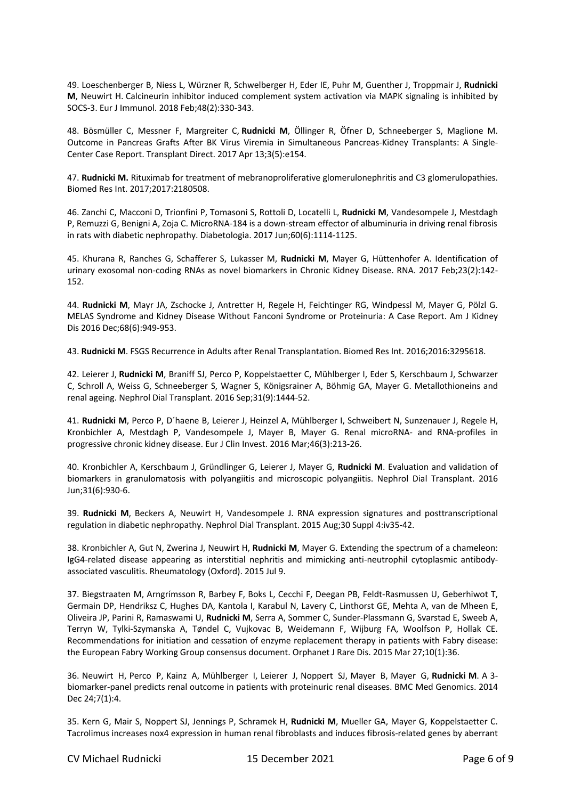49. Loeschenberger B, Niess L, Würzner R, Schwelberger H, Eder IE, Puhr M, Guenther J, Troppmair J, **Rudnicki M**, Neuwirt H. Calcineurin inhibitor induced complement system activation via MAPK signaling is inhibited by SOCS-3. Eur J Immunol. 2018 Feb;48(2):330-343.

48. Bösmüller C, Messner F, Margreiter C, **Rudnicki M**, Öllinger R, Öfner D, Schneeberger S, Maglione M. Outcome in Pancreas Grafts After BK Virus Viremia in Simultaneous Pancreas-Kidney Transplants: A Single-Center Case Report. Transplant Direct. 2017 Apr 13;3(5):e154.

47. **Rudnicki M.** Rituximab for treatment of mebranoproliferative glomerulonephritis and C3 glomerulopathies. Biomed Res Int. 2017;2017:2180508.

46. Zanchi C, Macconi D, Trionfini P, Tomasoni S, Rottoli D, Locatelli L, **Rudnicki M**, Vandesompele J, Mestdagh P, Remuzzi G, Benigni A, Zoja C. MicroRNA-184 is a down-stream effector of albuminuria in driving renal fibrosis in rats with diabetic nephropathy. Diabetologia. 2017 Jun;60(6):1114-1125.

45. Khurana R, Ranches G, Schafferer S, Lukasser M, **Rudnicki M**, Mayer G, Hüttenhofer A. Identification of urinary exosomal non-coding RNAs as novel biomarkers in Chronic Kidney Disease. RNA. 2017 Feb;23(2):142- 152.

44. **Rudnicki M**, Mayr JA, Zschocke J, Antretter H, Regele H, Feichtinger RG, Windpessl M, Mayer G, Pölzl G. MELAS Syndrome and Kidney Disease Without Fanconi Syndrome or Proteinuria: A Case Report. Am J Kidney Dis 2016 Dec;68(6):949-953.

43. **Rudnicki M**. FSGS Recurrence in Adults after Renal Transplantation. Biomed Res Int. 2016;2016:3295618.

42. Leierer J, **Rudnicki M**, Braniff SJ, Perco P, Koppelstaetter C, Mühlberger I, Eder S, Kerschbaum J, Schwarzer C, Schroll A, Weiss G, Schneeberger S, Wagner S, Königsrainer A, Böhmig GA, Mayer G. Metallothioneins and renal ageing. Nephrol Dial Transplant. 2016 Sep;31(9):1444-52.

41. **Rudnicki M**, Perco P, D´haene B, Leierer J, Heinzel A, Mühlberger I, Schweibert N, Sunzenauer J, Regele H, Kronbichler A, Mestdagh P, Vandesompele J, Mayer B, Mayer G. Renal microRNA- and RNA-profiles in progressive chronic kidney disease. Eur J Clin Invest. 2016 Mar;46(3):213-26.

40. Kronbichler A, Kerschbaum J, Gründlinger G, Leierer J, Mayer G, **Rudnicki M**. Evaluation and validation of biomarkers in granulomatosis with polyangiitis and microscopic polyangiitis. Nephrol Dial Transplant. 2016 Jun;31(6):930-6.

39. **Rudnicki M**, Beckers A, Neuwirt H, Vandesompele J. RNA expression signatures and posttranscriptional regulation in diabetic nephropathy. Nephrol Dial Transplant. 2015 Aug;30 Suppl 4:iv35-42.

38. Kronbichler A, Gut N, Zwerina J, Neuwirt H, **Rudnicki M**, Mayer G. Extending the spectrum of a chameleon: IgG4-related disease appearing as interstitial nephritis and mimicking anti-neutrophil cytoplasmic antibodyassociated vasculitis. Rheumatology (Oxford). 2015 Jul 9.

37. Biegstraaten M, Arngrímsson R, Barbey F, Boks L, Cecchi F, Deegan PB, Feldt-Rasmussen U, Geberhiwot T, Germain DP, Hendriksz C, Hughes DA, Kantola I, Karabul N, Lavery C, Linthorst GE, Mehta A, van de Mheen E, Oliveira JP, Parini R, Ramaswami U, **Rudnicki M**, Serra A, Sommer C, Sunder-Plassmann G, Svarstad E, Sweeb A, Terryn W, Tylki-Szymanska A, Tøndel C, Vujkovac B, Weidemann F, Wijburg FA, Woolfson P, Hollak CE. Recommendations for initiation and cessation of enzyme replacement therapy in patients with Fabry disease: the European Fabry Working Group consensus document. Orphanet J Rare Dis. 2015 Mar 27;10(1):36.

36. Neuwirt H, Perco P, Kainz A, Mühlberger I, Leierer J, Noppert SJ, Mayer B, Mayer G, **Rudnicki M**. A 3 biomarker-panel predicts renal outcome in patients with proteinuric renal diseases. BMC Med Genomics. 2014 Dec 24;7(1):4.

35. Kern G, Mair S, Noppert SJ, Jennings P, Schramek H, **Rudnicki M**, Mueller GA, Mayer G, Koppelstaetter C. Tacrolimus increases nox4 expression in human renal fibroblasts and induces fibrosis-related genes by aberrant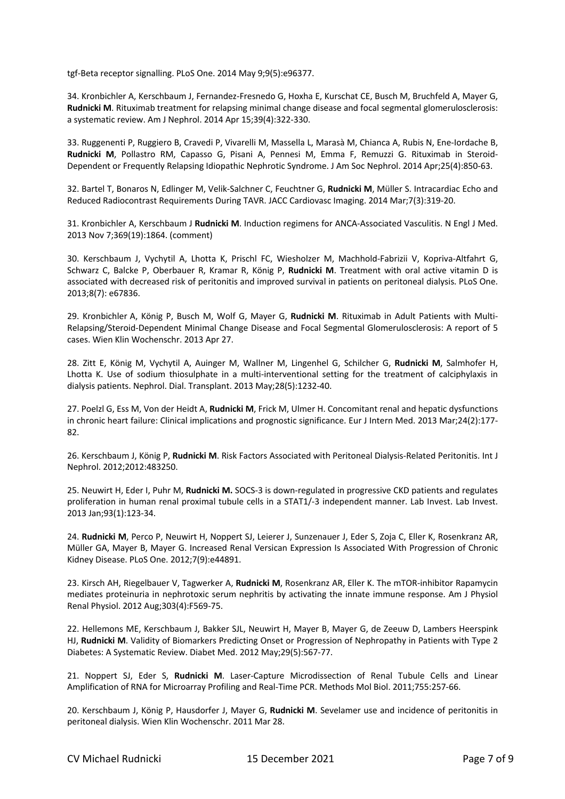tgf-Beta receptor signalling. PLoS One. 2014 May 9;9(5):e96377.

34. Kronbichler A, Kerschbaum J, Fernandez-Fresnedo G, Hoxha E, Kurschat CE, Busch M, Bruchfeld A, Mayer G, **Rudnicki M**. Rituximab treatment for relapsing minimal change disease and focal segmental glomerulosclerosis: a systematic review. Am J Nephrol. 2014 Apr 15;39(4):322-330.

33. Ruggenenti P, Ruggiero B, Cravedi P, Vivarelli M, Massella L, Marasà M, Chianca A, Rubis N, Ene-Iordache B, **Rudnicki M**, Pollastro RM, Capasso G, Pisani A, Pennesi M, Emma F, Remuzzi G. Rituximab in Steroid-Dependent or Frequently Relapsing Idiopathic Nephrotic Syndrome. J Am Soc Nephrol. 2014 Apr;25(4):850-63.

32. Bartel T, Bonaros N, Edlinger M, Velik-Salchner C, Feuchtner G, **Rudnicki M**, Müller S. Intracardiac Echo and Reduced Radiocontrast Requirements During TAVR. JACC Cardiovasc Imaging. 2014 Mar;7(3):319-20.

31. Kronbichler A, Kerschbaum J **Rudnicki M**. Induction regimens for ANCA-Associated Vasculitis. N Engl J Med. 2013 Nov 7;369(19):1864. (comment)

30. Kerschbaum J, Vychytil A, Lhotta K, Prischl FC, Wiesholzer M, Machhold-Fabrizii V, Kopriva-Altfahrt G, Schwarz C, Balcke P, Oberbauer R, Kramar R, König P, **Rudnicki M**. Treatment with oral active vitamin D is associated with decreased risk of peritonitis and improved survival in patients on peritoneal dialysis. PLoS One. 2013;8(7): e67836.

29. Kronbichler A, König P, Busch M, Wolf G, Mayer G, **Rudnicki M**. Rituximab in Adult Patients with Multi-Relapsing/Steroid-Dependent Minimal Change Disease and Focal Segmental Glomerulosclerosis: A report of 5 cases. Wien Klin Wochenschr. 2013 Apr 27.

28. Zitt E, König M, Vychytil A, Auinger M, Wallner M, Lingenhel G, Schilcher G, **Rudnicki M**, Salmhofer H, Lhotta K. Use of sodium thiosulphate in a multi-interventional setting for the treatment of calciphylaxis in dialysis patients. Nephrol. Dial. Transplant. 2013 May;28(5):1232-40.

27. Poelzl G, Ess M, Von der Heidt A, **Rudnicki M**, Frick M, Ulmer H. Concomitant renal and hepatic dysfunctions in chronic heart failure: Clinical implications and prognostic significance. Eur J Intern Med. 2013 Mar;24(2):177- 82.

26. Kerschbaum J, König P, **Rudnicki M**. Risk Factors Associated with Peritoneal Dialysis-Related Peritonitis. Int J Nephrol. 2012;2012:483250.

25. Neuwirt H, Eder I, Puhr M, **Rudnicki M.** SOCS-3 is down-regulated in progressive CKD patients and regulates proliferation in human renal proximal tubule cells in a STAT1/-3 independent manner. Lab Invest. Lab Invest. 2013 Jan;93(1):123-34.

24. **Rudnicki M**, Perco P, Neuwirt H, Noppert SJ, Leierer J, Sunzenauer J, Eder S, Zoja C, Eller K, Rosenkranz AR, Müller GA, Mayer B, Mayer G. Increased Renal Versican Expression Is Associated With Progression of Chronic Kidney Disease. PLoS One. 2012;7(9):e44891.

23. Kirsch AH, Riegelbauer V, Tagwerker A, **Rudnicki M**, Rosenkranz AR, Eller K. The mTOR-inhibitor Rapamycin mediates proteinuria in nephrotoxic serum nephritis by activating the innate immune response. Am J Physiol Renal Physiol. 2012 Aug;303(4):F569-75.

22. Hellemons ME, Kerschbaum J, Bakker SJL, Neuwirt H, Mayer B, Mayer G, de Zeeuw D, Lambers Heerspink HJ, **Rudnicki M**. Validity of Biomarkers Predicting Onset or Progression of Nephropathy in Patients with Type 2 Diabetes: A Systematic Review. Diabet Med. 2012 May;29(5):567-77.

21. Noppert SJ, Eder S, **Rudnicki M**. Laser-Capture Microdissection of Renal Tubule Cells and Linear Amplification of RNA for Microarray Profiling and Real-Time PCR. Methods Mol Biol. 2011;755:257-66.

20. Kerschbaum J, König P, Hausdorfer J, Mayer G, **Rudnicki M**. Sevelamer use and incidence of peritonitis in peritoneal dialysis. Wien Klin Wochenschr. 2011 Mar 28.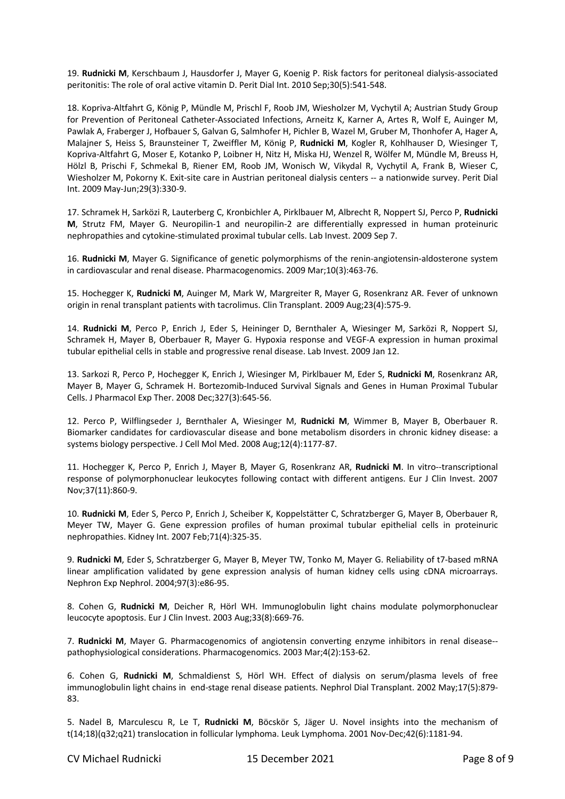19. **Rudnicki M**, Kerschbaum J, Hausdorfer J, Mayer G, Koenig P. Risk factors for peritoneal dialysis-associated peritonitis: The role of oral active vitamin D. Perit Dial Int. 2010 Sep;30(5):541-548.

18. Kopriva-Altfahrt G, König P, Mündle M, Prischl F, Roob JM, Wiesholzer M, Vychytil A; Austrian Study Group for Prevention of Peritoneal Catheter-Associated Infections, Arneitz K, Karner A, Artes R, Wolf E, Auinger M, Pawlak A, Fraberger J, Hofbauer S, Galvan G, Salmhofer H, Pichler B, Wazel M, Gruber M, Thonhofer A, Hager A, Malajner S, Heiss S, Braunsteiner T, Zweiffler M, König P, **Rudnicki M**, Kogler R, Kohlhauser D, Wiesinger T, Kopriva-Altfahrt G, Moser E, Kotanko P, Loibner H, Nitz H, Miska HJ, Wenzel R, Wölfer M, Mündle M, Breuss H, Hölzl B, Prischi F, Schmekal B, Riener EM, Roob JM, Wonisch W, Vikydal R, Vychytil A, Frank B, Wieser C, Wiesholzer M, Pokorny K. Exit-site care in Austrian peritoneal dialysis centers -- a nationwide survey. Perit Dial Int. 2009 May-Jun;29(3):330-9.

17. Schramek H, Sarközi R, Lauterberg C, Kronbichler A, Pirklbauer M, Albrecht R, Noppert SJ, Perco P, **Rudnicki M**, Strutz FM, Mayer G. Neuropilin-1 and neuropilin-2 are differentially expressed in human proteinuric nephropathies and cytokine-stimulated proximal tubular cells. Lab Invest. 2009 Sep 7.

16. **Rudnicki M**, Mayer G. Significance of genetic polymorphisms of the renin-angiotensin-aldosterone system in cardiovascular and renal disease. Pharmacogenomics. 2009 Mar;10(3):463-76.

15. Hochegger K, **Rudnicki M**, Auinger M, Mark W, Margreiter R, Mayer G, Rosenkranz AR. Fever of unknown origin in renal transplant patients with tacrolimus. Clin Transplant. 2009 Aug;23(4):575-9.

14. **Rudnicki M**, Perco P, Enrich J, Eder S, Heininger D, Bernthaler A, Wiesinger M, Sarközi R, Noppert SJ, Schramek H, Mayer B, Oberbauer R, Mayer G. Hypoxia response and VEGF-A expression in human proximal tubular epithelial cells in stable and progressive renal disease. Lab Invest. 2009 Jan 12.

13. Sarkozi R, Perco P, Hochegger K, Enrich J, Wiesinger M, Pirklbauer M, Eder S, **Rudnicki M**, Rosenkranz AR, Mayer B, Mayer G, Schramek H. Bortezomib-Induced Survival Signals and Genes in Human Proximal Tubular Cells. J Pharmacol Exp Ther. 2008 Dec;327(3):645-56.

12. Perco P, Wilflingseder J, Bernthaler A, Wiesinger M, **Rudnicki M**, Wimmer B, Mayer B, Oberbauer R. Biomarker candidates for cardiovascular disease and bone metabolism disorders in chronic kidney disease: a systems biology perspective. J Cell Mol Med. 2008 Aug;12(4):1177-87.

11. Hochegger K, Perco P, Enrich J, Mayer B, Mayer G, Rosenkranz AR, **Rudnicki M**. In vitro--transcriptional response of polymorphonuclear leukocytes following contact with different antigens. Eur J Clin Invest. 2007 Nov;37(11):860-9.

10. **Rudnicki M**, Eder S, Perco P, Enrich J, Scheiber K, Koppelstätter C, Schratzberger G, Mayer B, Oberbauer R, Meyer TW, Mayer G. Gene expression profiles of human proximal tubular epithelial cells in proteinuric nephropathies. Kidney Int. 2007 Feb;71(4):325-35.

9. **Rudnicki M**, Eder S, Schratzberger G, Mayer B, Meyer TW, Tonko M, Mayer G. Reliability of t7-based mRNA linear amplification validated by gene expression analysis of human kidney cells using cDNA microarrays. Nephron Exp Nephrol. 2004;97(3):e86-95.

8. Cohen G, **Rudnicki M**, Deicher R, Hörl WH. Immunoglobulin light chains modulate polymorphonuclear leucocyte apoptosis. Eur J Clin Invest. 2003 Aug;33(8):669-76.

7. **Rudnicki M**, Mayer G. Pharmacogenomics of angiotensin converting enzyme inhibitors in renal disease- pathophysiological considerations. Pharmacogenomics. 2003 Mar;4(2):153-62.

6. Cohen G, **Rudnicki M**, Schmaldienst S, Hörl WH. Effect of dialysis on serum/plasma levels of free immunoglobulin light chains in end-stage renal disease patients. Nephrol Dial Transplant. 2002 May;17(5):879- 83.

5. Nadel B, Marculescu R, Le T, **Rudnicki M**, Böcskör S, Jäger U. Novel insights into the mechanism of t(14;18)(q32;q21) translocation in follicular lymphoma. Leuk Lymphoma. 2001 Nov-Dec;42(6):1181-94.